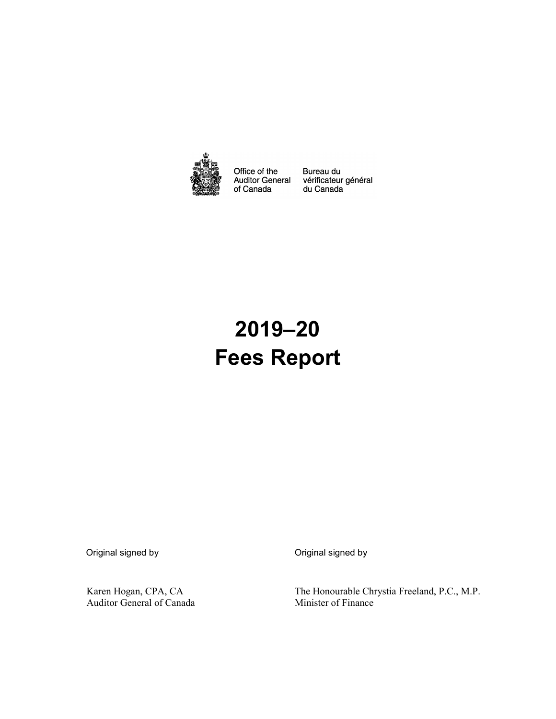

Office of the Auditor General<br>of Canada Bureau du<br>vérificateur général<br>du Canada

# **2019–20 Fees Report**

Original signed by Original signed by

Karen Hogan, CPA, CA Auditor General of Canada The Honourable Chrystia Freeland, P.C., M.P. Minister of Finance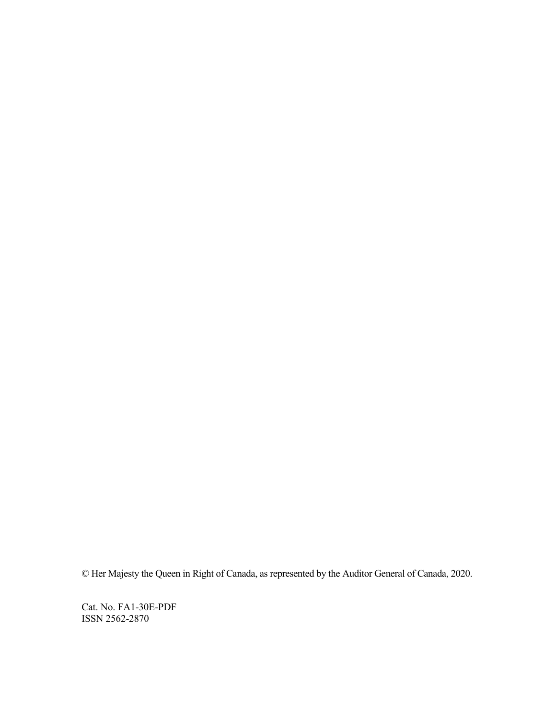© Her Majesty the Queen in Right of Canada, as represented by the Auditor General of Canada, 2020.

Cat. No. FA1-30E-PDF ISSN 2562-2870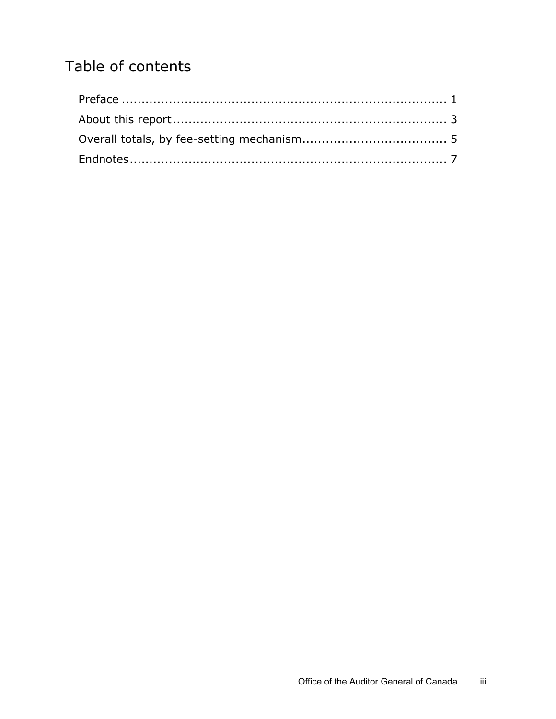## Table of contents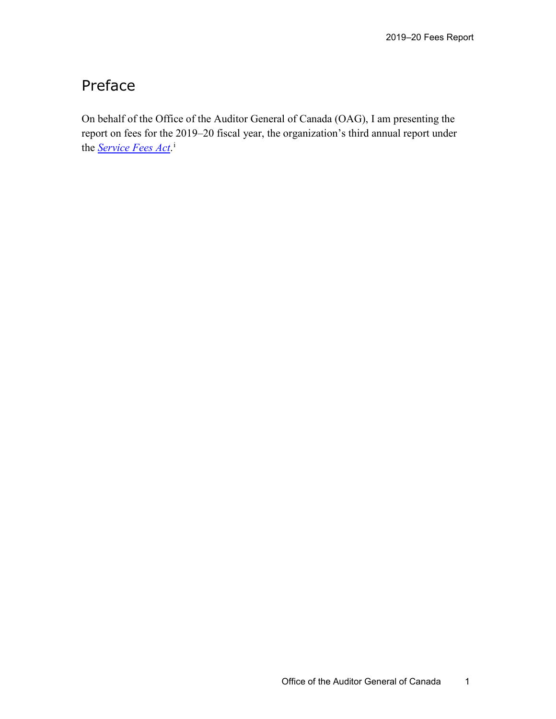#### <span id="page-4-0"></span>Preface

On behalf of the Office of the Auditor General of Canada (OAG), I am presenting the report on fees for the 2019–20 fiscal year, the organization's third annual report under the *[Service Fees Act](http://laws-lois.justice.gc.ca/eng/acts/S-8.4/index.html)*. [i](#page-10-1)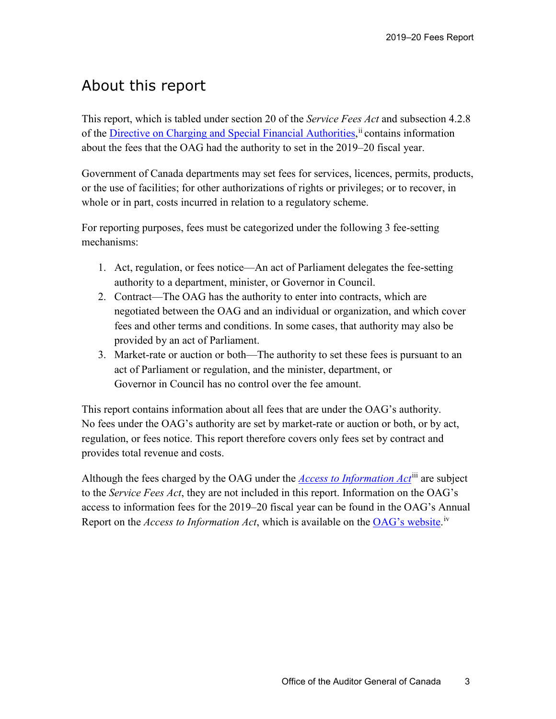#### <span id="page-6-0"></span>About this report

This report, which is tabled under section 20 of the *Service Fees Act* and subsection 4.2.8 of the *Directive on Charging and Special Financial Authorities*,<sup>[ii](#page-10-2)</sup> contains information about the fees that the OAG had the authority to set in the 2019–20 fiscal year.

Government of Canada departments may set fees for services, licences, permits, products, or the use of facilities; for other authorizations of rights or privileges; or to recover, in whole or in part, costs incurred in relation to a regulatory scheme.

For reporting purposes, fees must be categorized under the following 3 fee-setting mechanisms:

- 1. Act, regulation, or fees notice—An act of Parliament delegates the fee-setting authority to a department, minister, or Governor in Council.
- 2. Contract—The OAG has the authority to enter into contracts, which are negotiated between the OAG and an individual or organization, and which cover fees and other terms and conditions. In some cases, that authority may also be provided by an act of Parliament.
- 3. Market-rate or auction or both—The authority to set these fees is pursuant to an act of Parliament or regulation, and the minister, department, or Governor in Council has no control over the fee amount.

This report contains information about all fees that are under the OAG's authority. No fees under the OAG's authority are set by market-rate or auction or both, or by act, regulation, or fees notice. This report therefore covers only fees set by contract and provides total revenue and costs.

Although the fees charged by the OAG under the *[Access to Information Act](https://laws-lois.justice.gc.ca/eng/acts/A-1/index.html)*[iii](#page-10-3) are subject to the *Service Fees Act*, they are not included in this report. Information on the OAG's access to information fees for the 2019–20 fiscal year can be found in the OAG's Annual Report on the *Access to Information Act*, which is available on the **OAG**'s website.<sup>[iv](#page-10-4)</sup>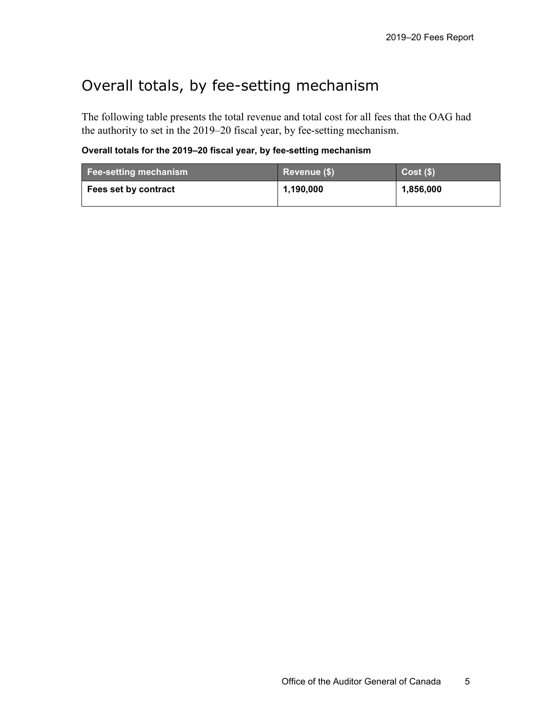## <span id="page-8-0"></span>Overall totals, by fee-setting mechanism

The following table presents the total revenue and total cost for all fees that the OAG had the authority to set in the 2019–20 fiscal year, by fee-setting mechanism.

**Overall totals for the 2019–20 fiscal year, by fee-setting mechanism**

| <b>Fee-setting mechanism</b> | Revenue (\$) | $Cost($ \$) |
|------------------------------|--------------|-------------|
| Fees set by contract         | 1,190,000    | 1,856,000   |